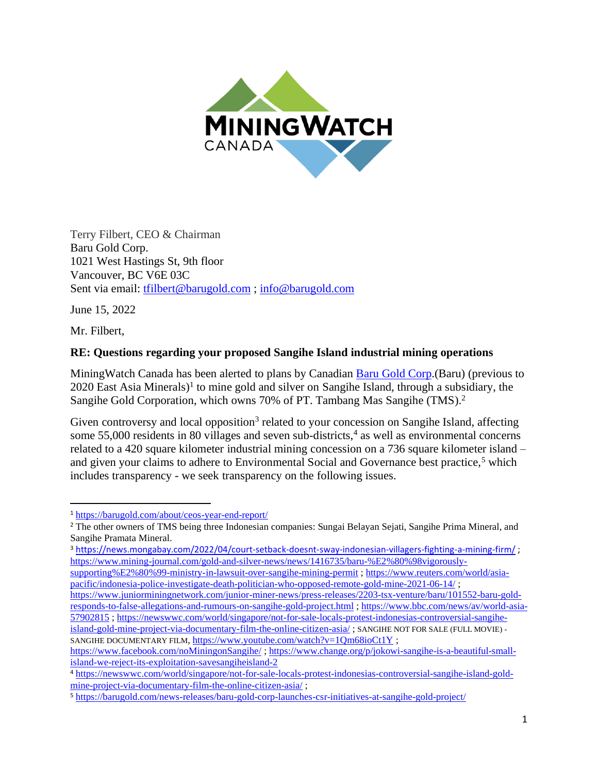

Terry Filbert, CEO & Chairman Baru Gold Corp. 1021 West Hastings St, 9th floor Vancouver, BC V6E 03C Sent via email: [tfilbert@barugold.com](mailto:tfilbert@barugold.com) ; [info@barugold.com](mailto:info@barugold.com)

June 15, 2022

Mr. Filbert,

## **RE: Questions regarding your proposed Sangihe Island industrial mining operations**

MiningWatch Canada has been alerted to plans by Canadian [Baru Gold Corp.](https://barugold.com/)(Baru) (previous to 2020 East Asia Minerals) 1 to mine gold and silver on Sangihe Island, through a subsidiary, the Sangihe Gold Corporation, which owns 70% of PT. Tambang Mas Sangihe (TMS).<sup>2</sup>

Given controversy and local opposition<sup>3</sup> related to your concession on Sangihe Island, affecting some 55,000 residents in 80 villages and seven sub-districts,<sup>4</sup> as well as environmental concerns related to a 420 square kilometer industrial mining concession on a 736 square kilometer island – and given your claims to adhere to Environmental Social and Governance best practice,<sup>5</sup> which includes transparency - we seek transparency on the following issues.

<sup>3</sup> <https://news.mongabay.com/2022/04/court-setback-doesnt-sway-indonesian-villagers-fighting-a-mining-firm/> ; [https://www.mining-journal.com/gold-and-silver-news/news/1416735/baru-%E2%80%98vigorously-](https://www.mining-journal.com/gold-and-silver-news/news/1416735/baru-%E2%80%98vigorously-supporting%E2%80%99-ministry-in-lawsuit-over-sangihe-mining-permit)

[https://www.juniorminingnetwork.com/junior-miner-news/press-releases/2203-tsx-venture/baru/101552-baru-gold](https://www.juniorminingnetwork.com/junior-miner-news/press-releases/2203-tsx-venture/baru/101552-baru-gold-responds-to-false-allegations-and-rumours-on-sangihe-gold-project.html)[responds-to-false-allegations-and-rumours-on-sangihe-gold-project.html](https://www.juniorminingnetwork.com/junior-miner-news/press-releases/2203-tsx-venture/baru/101552-baru-gold-responds-to-false-allegations-and-rumours-on-sangihe-gold-project.html) ; [https://www.bbc.com/news/av/world-asia-](https://www.bbc.com/news/av/world-asia-57902815)[57902815](https://www.bbc.com/news/av/world-asia-57902815) ; [https://newswwc.com/world/singapore/not-for-sale-locals-protest-indonesias-controversial-sangihe](https://newswwc.com/world/singapore/not-for-sale-locals-protest-indonesias-controversial-sangihe-island-gold-mine-project-via-documentary-film-the-online-citizen-asia/)[island-gold-mine-project-via-documentary-film-the-online-citizen-asia/](https://newswwc.com/world/singapore/not-for-sale-locals-protest-indonesias-controversial-sangihe-island-gold-mine-project-via-documentary-film-the-online-citizen-asia/) ; SANGIHE NOT FOR SALE (FULL MOVIE) SANGIHE DOCUMENTARY FILM,<https://www.youtube.com/watch?v=1Qm68ioCt1Y>;

<sup>1</sup> <https://barugold.com/about/ceos-year-end-report/>

<sup>&</sup>lt;sup>2</sup> The other owners of TMS being three Indonesian companies: Sungai Belayan Sejati, Sangihe Prima Mineral, and Sangihe Pramata Mineral.

[supporting%E2%80%99-ministry-in-lawsuit-over-sangihe-mining-permit](https://www.mining-journal.com/gold-and-silver-news/news/1416735/baru-%E2%80%98vigorously-supporting%E2%80%99-ministry-in-lawsuit-over-sangihe-mining-permit) [; https://www.reuters.com/world/asia](https://www.reuters.com/world/asia-pacific/indonesia-police-investigate-death-politician-who-opposed-remote-gold-mine-2021-06-14/)[pacific/indonesia-police-investigate-death-politician-who-opposed-remote-gold-mine-2021-06-14/](https://www.reuters.com/world/asia-pacific/indonesia-police-investigate-death-politician-who-opposed-remote-gold-mine-2021-06-14/) ;

<https://www.facebook.com/noMiningonSangihe/> [; https://www.change.org/p/jokowi-sangihe-is-a-beautiful-small](https://www.change.org/p/jokowi-sangihe-is-a-beautiful-small-island-we-reject-its-exploitation-savesangiheisland-2)[island-we-reject-its-exploitation-savesangiheisland-2](https://www.change.org/p/jokowi-sangihe-is-a-beautiful-small-island-we-reject-its-exploitation-savesangiheisland-2)

<sup>4</sup> [https://newswwc.com/world/singapore/not-for-sale-locals-protest-indonesias-controversial-sangihe-island-gold](https://newswwc.com/world/singapore/not-for-sale-locals-protest-indonesias-controversial-sangihe-island-gold-mine-project-via-documentary-film-the-online-citizen-asia/)[mine-project-via-documentary-film-the-online-citizen-asia/](https://newswwc.com/world/singapore/not-for-sale-locals-protest-indonesias-controversial-sangihe-island-gold-mine-project-via-documentary-film-the-online-citizen-asia/) ;

<sup>5</sup> <https://barugold.com/news-releases/baru-gold-corp-launches-csr-initiatives-at-sangihe-gold-project/>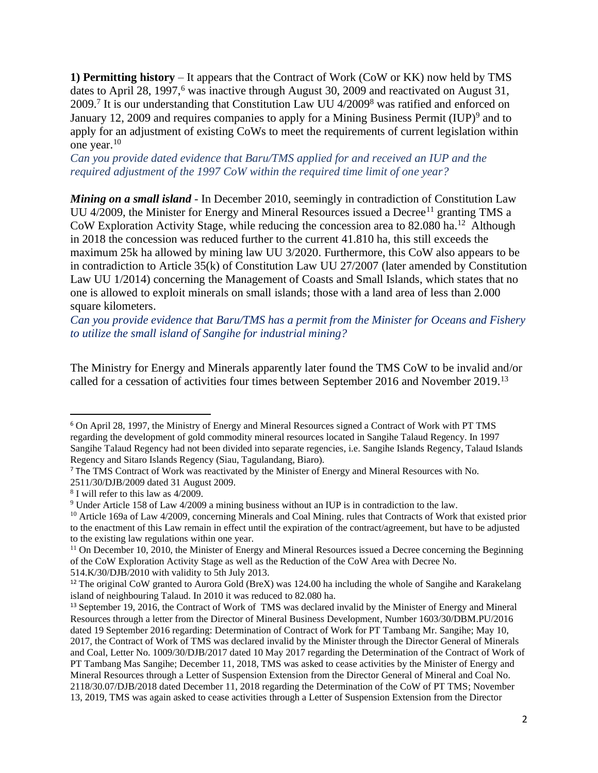**1) Permitting history** – It appears that the Contract of Work (CoW or KK) now held by TMS dates to April 28, 1997,<sup>6</sup> was inactive through August 30, 2009 and reactivated on August 31, 2009.<sup>7</sup> It is our understanding that Constitution Law UU 4/2009<sup>8</sup> was ratified and enforced on January 12, 2009 and requires companies to apply for a Mining Business Permit (IUP)<sup>9</sup> and to apply for an adjustment of existing CoWs to meet the requirements of current legislation within one year. 10

*Can you provide dated evidence that Baru/TMS applied for and received an IUP and the required adjustment of the 1997 CoW within the required time limit of one year?* 

*Mining on a small island* - In December 2010, seemingly in contradiction of Constitution Law UU 4/2009, the Minister for Energy and Mineral Resources issued a Decree<sup>11</sup> granting TMS a CoW Exploration Activity Stage, while reducing the concession area to 82.080 ha. <sup>12</sup> Although in 2018 the concession was reduced further to the current 41.810 ha, this still exceeds the maximum 25k ha allowed by mining law UU 3/2020. Furthermore, this CoW also appears to be in contradiction to Article 35(k) of Constitution Law UU 27/2007 (later amended by Constitution Law UU 1/2014) concerning the Management of Coasts and Small Islands, which states that no one is allowed to exploit minerals on small islands; those with a land area of less than 2.000 square kilometers.

*Can you provide evidence that Baru/TMS has a permit from the Minister for Oceans and Fishery to utilize the small island of Sangihe for industrial mining?*

The Ministry for Energy and Minerals apparently later found the TMS CoW to be invalid and/or called for a cessation of activities four times between September 2016 and November 2019.<sup>13</sup>

<sup>6</sup> On April 28, 1997, the Ministry of Energy and Mineral Resources signed a Contract of Work with PT TMS regarding the development of gold commodity mineral resources located in Sangihe Talaud Regency. In 1997 Sangihe Talaud Regency had not been divided into separate regencies, i.e. Sangihe Islands Regency, Talaud Islands Regency and Sitaro Islands Regency (Siau, Tagulandang, Biaro).

<sup>7</sup> The TMS Contract of Work was reactivated by the Minister of Energy and Mineral Resources with No.

<sup>2511/30/</sup>DJB/2009 dated 31 August 2009.

<sup>8</sup> I will refer to this law as 4/2009.

<sup>9</sup> Under Article 158 of Law 4/2009 a mining business without an IUP is in contradiction to the law.

<sup>&</sup>lt;sup>10</sup> Article 169a of Law 4/2009, concerning Minerals and Coal Mining. rules that Contracts of Work that existed prior to the enactment of this Law remain in effect until the expiration of the contract/agreement, but have to be adjusted

to the existing law regulations within one year.

 $11$  On December 10, 2010, the Minister of Energy and Mineral Resources issued a Decree concerning the Beginning of the CoW Exploration Activity Stage as well as the Reduction of the CoW Area with Decree No.

<sup>514.</sup>K/30/DJB/2010 with validity to 5th July 2013.

<sup>12</sup> The original CoW granted to Aurora Gold (BreX) was 124.00 ha including the whole of Sangihe and Karakelang island of neighbouring Talaud. In 2010 it was reduced to 82.080 ha.

<sup>13</sup> September 19, 2016, the Contract of Work of TMS was declared invalid by the Minister of Energy and Mineral Resources through a letter from the Director of Mineral Business Development, Number 1603/30/DBM.PU/2016 dated 19 September 2016 regarding: Determination of Contract of Work for PT Tambang Mr. Sangihe; May 10, 2017, the Contract of Work of TMS was declared invalid by the Minister through the Director General of Minerals and Coal, Letter No. 1009/30/DJB/2017 dated 10 May 2017 regarding the Determination of the Contract of Work of PT Tambang Mas Sangihe; December 11, 2018, TMS was asked to cease activities by the Minister of Energy and Mineral Resources through a Letter of Suspension Extension from the Director General of Mineral and Coal No. 2118/30.07/DJB/2018 dated December 11, 2018 regarding the Determination of the CoW of PT TMS; November 13, 2019, TMS was again asked to cease activities through a Letter of Suspension Extension from the Director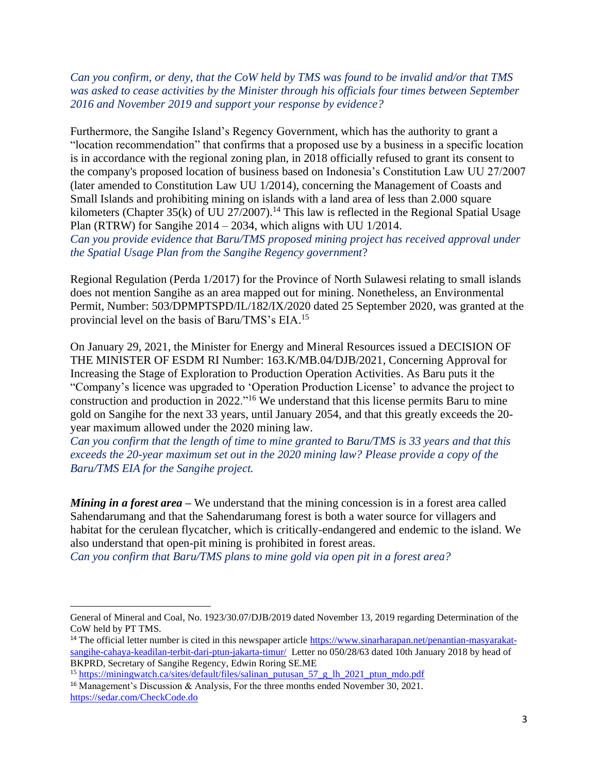*Can you confirm, or deny, that the CoW held by TMS was found to be invalid and/or that TMS was asked to cease activities by the Minister through his officials four times between September 2016 and November 2019 and support your response by evidence?*

Furthermore, the Sangihe Island's Regency Government, which has the authority to grant a "location recommendation" that confirms that a proposed use by a business in a specific location is in accordance with the regional zoning plan, in 2018 officially refused to grant its consent to the company's proposed location of business based on Indonesia's Constitution Law UU 27/2007 (later amended to Constitution Law UU 1/2014), concerning the Management of Coasts and Small Islands and prohibiting mining on islands with a land area of less than 2.000 square kilometers (Chapter 35(k) of UU 27/2007).<sup>14</sup> This law is reflected in the Regional Spatial Usage Plan (RTRW) for Sangihe 2014 – 2034, which aligns with UU 1/2014. *Can you provide evidence that Baru/TMS proposed mining project has received approval under the Spatial Usage Plan from the Sangihe Regency government*?

Regional Regulation (Perda 1/2017) for the Province of North Sulawesi relating to small islands does not mention Sangihe as an area mapped out for mining. Nonetheless, an Environmental Permit, Number: 503/DPMPTSPD/IL/182/IX/2020 dated 25 September 2020, was granted at the provincial level on the basis of Baru/TMS's EIA.<sup>15</sup>

On January 29, 2021, the Minister for Energy and Mineral Resources issued a DECISION OF THE MINISTER OF ESDM RI Number: 163.K/MB.04/DJB/2021, Concerning Approval for Increasing the Stage of Exploration to Production Operation Activities. As Baru puts it the "Company's licence was upgraded to 'Operation Production License' to advance the project to construction and production in 2022."<sup>16</sup> We understand that this license permits Baru to mine gold on Sangihe for the next 33 years, until January 2054, and that this greatly exceeds the 20 year maximum allowed under the 2020 mining law.

*Can you confirm that the length of time to mine granted to Baru/TMS is 33 years and that this exceeds the 20-year maximum set out in the 2020 mining law? Please provide a copy of the Baru/TMS EIA for the Sangihe project.*

*Mining in a forest area* – We understand that the mining concession is in a forest area called Sahendarumang and that the Sahendarumang forest is both a water source for villagers and habitat for the cerulean flycatcher, which is critically-endangered and endemic to the island. We also understand that open-pit mining is prohibited in forest areas.

*Can you confirm that Baru/TMS plans to mine gold via open pit in a forest area?*

General of Mineral and Coal, No. 1923/30.07/DJB/2019 dated November 13, 2019 regarding Determination of the CoW held by PT TMS.

<sup>&</sup>lt;sup>14</sup> The official letter number is cited in this newspaper article  $\frac{https://www.sinarharapan.net/penantian-masyarakat-}$ [sangihe-cahaya-keadilan-terbit-dari-ptun-jakarta-timur/](https://www.sinarharapan.net/penantian-masyarakat-sangihe-cahaya-keadilan-terbit-dari-ptun-jakarta-timur/) Letter no 050/28/63 dated 10th January 2018 by head of BKPRD, Secretary of Sangihe Regency, Edwin Roring SE.ME

<sup>&</sup>lt;sup>15</sup> [https://miningwatch.ca/sites/default/files/salinan\\_putusan\\_57\\_g\\_lh\\_2021\\_ptun\\_mdo.pdf](https://miningwatch.ca/sites/default/files/salinan_putusan_57_g_lh_2021_ptun_mdo.pdf)

<sup>&</sup>lt;sup>16</sup> Management's Discussion & Analysis, For the three months ended November 30, 2021. <https://sedar.com/CheckCode.do>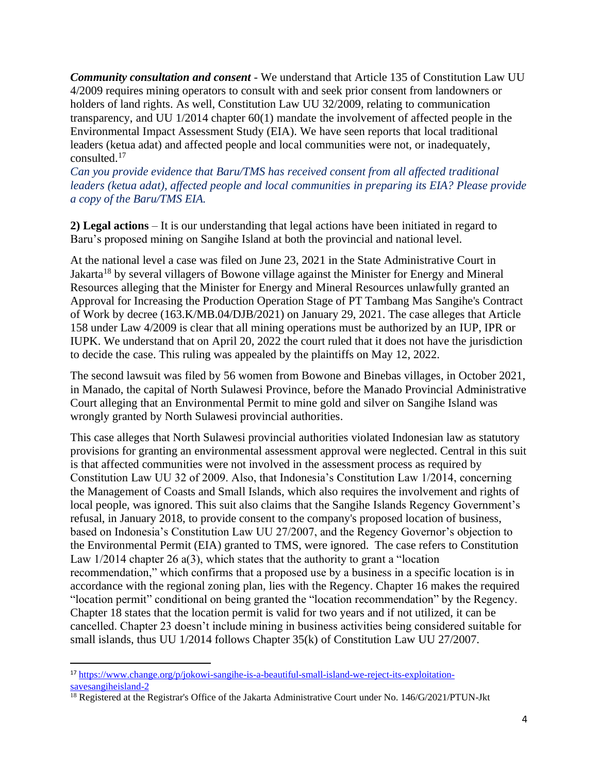*Community consultation and consent* - We understand that Article 135 of Constitution Law UU 4/2009 requires mining operators to consult with and seek prior consent from landowners or holders of land rights. As well, Constitution Law UU 32/2009, relating to communication transparency, and UU 1/2014 chapter 60(1) mandate the involvement of affected people in the Environmental Impact Assessment Study (EIA). We have seen reports that local traditional leaders (ketua adat) and affected people and local communities were not, or inadequately, consulted.<sup>17</sup>

*Can you provide evidence that Baru/TMS has received consent from all affected traditional leaders (ketua adat), affected people and local communities in preparing its EIA? Please provide a copy of the Baru/TMS EIA.* 

**2) Legal actions** – It is our understanding that legal actions have been initiated in regard to Baru's proposed mining on Sangihe Island at both the provincial and national level.

At the national level a case was filed on June 23, 2021 in the State Administrative Court in Jakarta<sup>18</sup> by several villagers of Bowone village against the Minister for Energy and Mineral Resources alleging that the Minister for Energy and Mineral Resources unlawfully granted an Approval for Increasing the Production Operation Stage of PT Tambang Mas Sangihe's Contract of Work by decree (163.K/MB.04/DJB/2021) on January 29, 2021. The case alleges that Article 158 under Law 4/2009 is clear that all mining operations must be authorized by an IUP, IPR or IUPK. We understand that on April 20, 2022 the court ruled that it does not have the jurisdiction to decide the case. This ruling was appealed by the plaintiffs on May 12, 2022.

The second lawsuit was filed by 56 women from Bowone and Binebas villages, in October 2021, in Manado, the capital of North Sulawesi Province, before the Manado Provincial Administrative Court alleging that an Environmental Permit to mine gold and silver on Sangihe Island was wrongly granted by North Sulawesi provincial authorities.

This case alleges that North Sulawesi provincial authorities violated Indonesian law as statutory provisions for granting an environmental assessment approval were neglected. Central in this suit is that affected communities were not involved in the assessment process as required by Constitution Law UU 32 of 2009. Also, that Indonesia's Constitution Law 1/2014, concerning the Management of Coasts and Small Islands, which also requires the involvement and rights of local people, was ignored. This suit also claims that the Sangihe Islands Regency Government's refusal, in January 2018, to provide consent to the company's proposed location of business, based on Indonesia's Constitution Law UU 27/2007, and the Regency Governor's objection to the Environmental Permit (EIA) granted to TMS, were ignored. The case refers to Constitution Law 1/2014 chapter 26 a(3), which states that the authority to grant a "location" recommendation," which confirms that a proposed use by a business in a specific location is in accordance with the regional zoning plan, lies with the Regency. Chapter 16 makes the required "location permit" conditional on being granted the "location recommendation" by the Regency. Chapter 18 states that the location permit is valid for two years and if not utilized, it can be cancelled. Chapter 23 doesn't include mining in business activities being considered suitable for small islands, thus UU 1/2014 follows Chapter 35(k) of Constitution Law UU 27/2007.

<sup>17</sup> [https://www.change.org/p/jokowi-sangihe-is-a-beautiful-small-island-we-reject-its-exploitation](https://www.change.org/p/jokowi-sangihe-is-a-beautiful-small-island-we-reject-its-exploitation-savesangiheisland-2)[savesangiheisland-2](https://www.change.org/p/jokowi-sangihe-is-a-beautiful-small-island-we-reject-its-exploitation-savesangiheisland-2)

<sup>&</sup>lt;sup>18</sup> Registered at the Registrar's Office of the Jakarta Administrative Court under No. 146/G/2021/PTUN-Jkt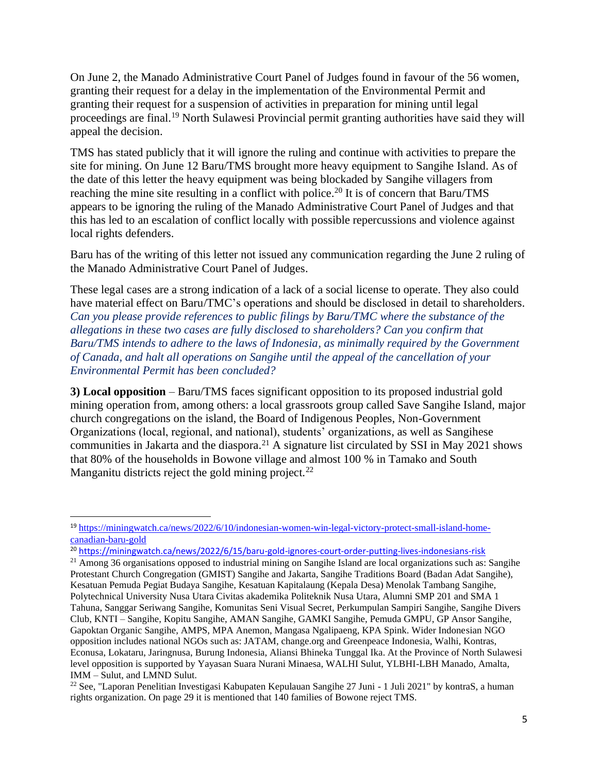On June 2, the Manado Administrative Court Panel of Judges found in favour of the 56 women, granting their request for a delay in the implementation of the Environmental Permit and granting their request for a suspension of activities in preparation for mining until legal proceedings are final.<sup>19</sup> North Sulawesi Provincial permit granting authorities have said they will appeal the decision.

TMS has stated publicly that it will ignore the ruling and continue with activities to prepare the site for mining. On June 12 Baru/TMS brought more heavy equipment to Sangihe Island. As of the date of this letter the heavy equipment was being blockaded by Sangihe villagers from reaching the mine site resulting in a conflict with police.<sup>20</sup> It is of concern that Baru/TMS appears to be ignoring the ruling of the Manado Administrative Court Panel of Judges and that this has led to an escalation of conflict locally with possible repercussions and violence against local rights defenders.

Baru has of the writing of this letter not issued any communication regarding the June 2 ruling of the Manado Administrative Court Panel of Judges.

These legal cases are a strong indication of a lack of a social license to operate. They also could have material effect on Baru/TMC's operations and should be disclosed in detail to shareholders. *Can you please provide references to public filings by Baru/TMC where the substance of the allegations in these two cases are fully disclosed to shareholders? Can you confirm that Baru/TMS intends to adhere to the laws of Indonesia, as minimally required by the Government of Canada, and halt all operations on Sangihe until the appeal of the cancellation of your Environmental Permit has been concluded?* 

**3) Local opposition** – Baru/TMS faces significant opposition to its proposed industrial gold mining operation from, among others: a local grassroots group called Save Sangihe Island, major church congregations on the island, the Board of Indigenous Peoples, Non-Government Organizations (local, regional, and national), students' organizations, as well as Sangihese communities in Jakarta and the diaspora.<sup>21</sup> A signature list circulated by SSI in May 2021 shows that 80% of the households in Bowone village and almost 100 % in Tamako and South Manganitu districts reject the gold mining project.<sup>22</sup>

<sup>19</sup> [https://miningwatch.ca/news/2022/6/10/indonesian-women-win-legal-victory-protect-small-island-home](https://miningwatch.ca/news/2022/6/10/indonesian-women-win-legal-victory-protect-small-island-home-canadian-baru-gold)[canadian-baru-gold](https://miningwatch.ca/news/2022/6/10/indonesian-women-win-legal-victory-protect-small-island-home-canadian-baru-gold)

<sup>20</sup> <https://miningwatch.ca/news/2022/6/15/baru-gold-ignores-court-order-putting-lives-indonesians-risk>

<sup>&</sup>lt;sup>21</sup> Among 36 organisations opposed to industrial mining on Sangihe Island are local organizations such as: Sangihe Protestant Church Congregation (GMIST) Sangihe and Jakarta, Sangihe Traditions Board (Badan Adat Sangihe), Kesatuan Pemuda Pegiat Budaya Sangihe, Kesatuan Kapitalaung (Kepala Desa) Menolak Tambang Sangihe, Polytechnical University Nusa Utara Civitas akademika Politeknik Nusa Utara, Alumni SMP 201 and SMA 1 Tahuna, Sanggar Seriwang Sangihe, Komunitas Seni Visual Secret, Perkumpulan Sampiri Sangihe, Sangihe Divers Club, KNTI – Sangihe, Kopitu Sangihe, AMAN Sangihe, GAMKI Sangihe, Pemuda GMPU, GP Ansor Sangihe, Gapoktan Organic Sangihe, AMPS, MPA Anemon, Mangasa Ngalipaeng, KPA Spink. Wider Indonesian NGO opposition includes national NGOs such as: JATAM, change.org and Greenpeace Indonesia, Walhi, Kontras, Econusa, Lokataru, Jaringnusa, Burung Indonesia, Aliansi Bhineka Tunggal Ika. At the Province of North Sulawesi level opposition is supported by Yayasan Suara Nurani Minaesa, WALHI Sulut, YLBHI-LBH Manado, Amalta, IMM – Sulut, and LMND Sulut.

<sup>22</sup> See, "Laporan Penelitian Investigasi Kabupaten Kepulauan Sangihe 27 Juni - 1 Juli 2021" by kontraS, a human rights organization. On page 29 it is mentioned that 140 families of Bowone reject TMS.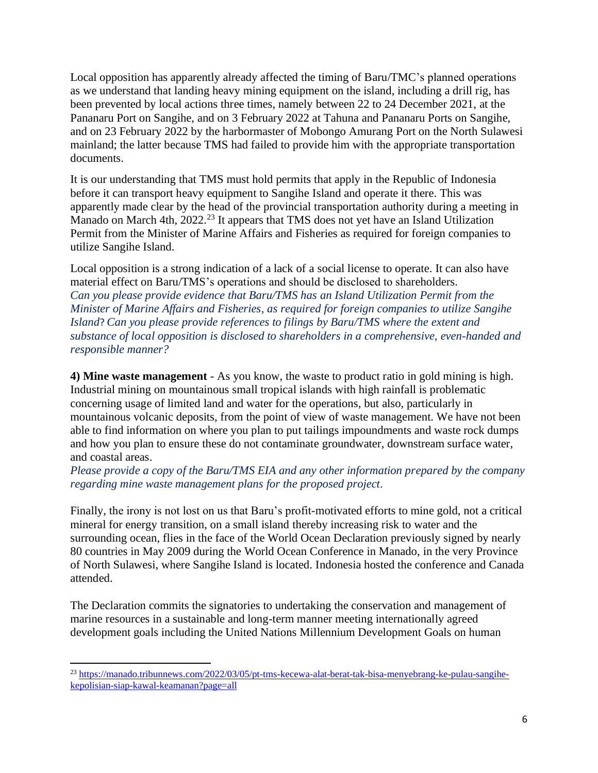Local opposition has apparently already affected the timing of Baru/TMC's planned operations as we understand that landing heavy mining equipment on the island, including a drill rig, has been prevented by local actions three times, namely between 22 to 24 December 2021, at the Pananaru Port on Sangihe, and on 3 February 2022 at Tahuna and Pananaru Ports on Sangihe, and on 23 February 2022 by the harbormaster of Mobongo Amurang Port on the North Sulawesi mainland; the latter because TMS had failed to provide him with the appropriate transportation documents.

It is our understanding that TMS must hold permits that apply in the Republic of Indonesia before it can transport heavy equipment to Sangihe Island and operate it there. This was apparently made clear by the head of the provincial transportation authority during a meeting in Manado on March 4th, 2022.<sup>23</sup> It appears that TMS does not yet have an Island Utilization Permit from the Minister of Marine Affairs and Fisheries as required for foreign companies to utilize Sangihe Island.

Local opposition is a strong indication of a lack of a social license to operate. It can also have material effect on Baru/TMS's operations and should be disclosed to shareholders. *Can you please provide evidence that Baru/TMS has an Island Utilization Permit from the Minister of Marine Affairs and Fisheries, as required for foreign companies to utilize Sangihe Island*? *Can you please provide references to filings by Baru/TMS where the extent and substance of local opposition is disclosed to shareholders in a comprehensive, even-handed and responsible manner?*

**4) Mine waste management** - As you know, the waste to product ratio in gold mining is high. Industrial mining on mountainous small tropical islands with high rainfall is problematic concerning usage of limited land and water for the operations, but also, particularly in mountainous volcanic deposits, from the point of view of waste management. We have not been able to find information on where you plan to put tailings impoundments and waste rock dumps and how you plan to ensure these do not contaminate groundwater, downstream surface water, and coastal areas.

## *Please provide a copy of the Baru/TMS EIA and any other information prepared by the company regarding mine waste management plans for the proposed project*.

Finally, the irony is not lost on us that Baru's profit-motivated efforts to mine gold, not a critical mineral for energy transition, on a small island thereby increasing risk to water and the surrounding ocean, flies in the face of the World Ocean Declaration previously signed by nearly 80 countries in May 2009 during the World Ocean Conference in Manado, in the very Province of North Sulawesi, where Sangihe Island is located. Indonesia hosted the conference and Canada attended.

The Declaration commits the signatories to undertaking the conservation and management of marine resources in a sustainable and long-term manner meeting internationally agreed development goals including the United Nations Millennium Development Goals on human

<sup>&</sup>lt;sup>23</sup> [https://manado.tribunnews.com/2022/03/05/pt-tms-kecewa-alat-berat-tak-bisa-menyebrang-ke-pulau-sangihe](https://manado.tribunnews.com/2022/03/05/pt-tms-kecewa-alat-berat-tak-bisa-menyebrang-ke-pulau-sangihe-kepolisian-siap-kawal-keamanan?page=all)[kepolisian-siap-kawal-keamanan?page=all](https://manado.tribunnews.com/2022/03/05/pt-tms-kecewa-alat-berat-tak-bisa-menyebrang-ke-pulau-sangihe-kepolisian-siap-kawal-keamanan?page=all)